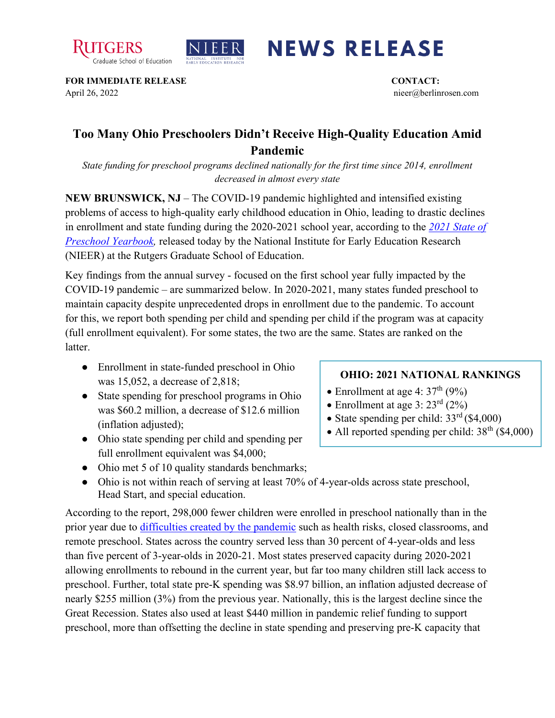



## **NEWS RELEASE**

**FOR IMMEDIATE RELEASE CONTACT:**  April 26, 2022 nieer@berlinrosen.com

## **Too Many Ohio Preschoolers Didn't Receive High-Quality Education Amid Pandemic**

*State funding for preschool programs declined nationally for the first time since 2014, enrollment decreased in almost every state*

**NEW BRUNSWICK, NJ** – The COVID-19 pandemic highlighted and intensified existing problems of access to high-quality early childhood education in Ohio, leading to drastic declines in enrollment and state funding during the 2020-2021 school year, according to the *[2021 State of](https://nieer.org/state-preschool-yearbooks-yearbook2021)  [Preschool Yearbook,](https://nieer.org/state-preschool-yearbooks-yearbook2021)* released today by the National Institute for Early Education Research (NIEER) at the Rutgers Graduate School of Education.

Key findings from the annual survey - focused on the first school year fully impacted by the COVID-19 pandemic – are summarized below. In 2020-2021, many states funded preschool to maintain capacity despite unprecedented drops in enrollment due to the pandemic. To account for this, we report both spending per child and spending per child if the program was at capacity (full enrollment equivalent). For some states, the two are the same. States are ranked on the latter.

- Enrollment in state-funded preschool in Ohio was 15,052, a decrease of 2,818;
- State spending for preschool programs in Ohio was \$60.2 million, a decrease of \$12.6 million (inflation adjusted);
- Ohio state spending per child and spending per full enrollment equivalent was \$4,000;

## • Ohio met 5 of 10 quality standards benchmarks;

• Ohio is not within reach of serving at least 70% of 4-year-olds across state preschool, Head Start, and special education.

According to the report, 298,000 fewer children were enrolled in preschool nationally than in the prior year due to [difficulties created by the pandemic](https://nieer.org/wp-content/uploads/2021/02/NIEER_Seven_Impacts_of_the_Pandemic_on_Young_Children_and_their_Parents.pdf) such as health risks, closed classrooms, and remote preschool. States across the country served less than 30 percent of 4-year-olds and less than five percent of 3-year-olds in 2020-21. Most states preserved capacity during 2020-2021 allowing enrollments to rebound in the current year, but far too many children still lack access to preschool. Further, total state pre-K spending was \$8.97 billion, an inflation adjusted decrease of nearly \$255 million (3%) from the previous year. Nationally, this is the largest decline since the Great Recession. States also used at least \$440 million in pandemic relief funding to support preschool, more than offsetting the decline in state spending and preserving pre-K capacity that

## **OHIO: 2021 NATIONAL RANKINGS**

- Enrollment at age 4:  $37<sup>th</sup>$  (9%)
- Enrollment at age 3:  $23^{\text{rd}}$  (2%)
- State spending per child:  $33<sup>rd</sup>$  (\$4,000)
- All reported spending per child:  $38<sup>th</sup>$  (\$4,000)